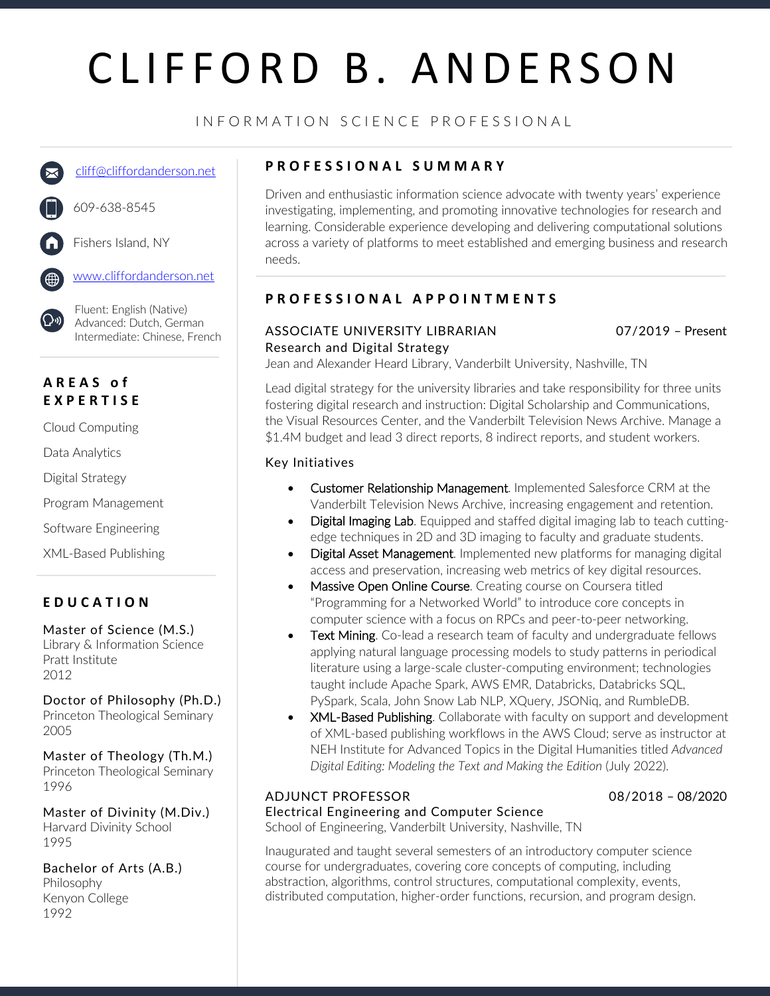# CLIFFORD B. ANDERSON

### INFORMATION SCIENCE PROFESSIONAL

cliff@cliffordanderson.net

609-638-8545



Fishers Island, NY

www.cliffordanderson.net

Fluent: English (Native) Advanced: Dutch, German Intermediate: Chinese, French

### **AREAS o f EXPERTISE**

Cloud Computing

Data Analytics

Digital Strategy

Program Management

Software Engineering

XML-Based Publishing

### **EDUCATION**

Master of Science (M.S.)

Library & Information Science Pratt Institute 2012

Doctor of Philosophy (Ph.D.) Princeton Theological Seminary 2005

Master of Theology (Th.M.) Princeton Theological Seminary 1996

Master of Divinity (M.Div.) Harvard Divinity School 1995

Bachelor of Arts (A.B.) Philosophy Kenyon College 1992

### **PROFESSIONAL SUMMARY**

Driven and enthusiastic information science advocate with twenty years' experience investigating, implementing, and promoting innovative technologies for research and learning. Considerable experience developing and delivering computational solutions across a variety of platforms to meet established and emerging business and research needs.

### **PROFESSIONA L APPOINTMENTS**

### ASSOCIATE UNIVERSITY LIBRARIAN 07/2019 – Present Research and Digital Strategy

Jean and Alexander Heard Library, Vanderbilt University, Nashville, TN

Lead digital strategy for the university libraries and take responsibility for three units fostering digital research and instruction: Digital Scholarship and Communications, the Visual Resources Center, and the Vanderbilt Television News Archive. Manage a \$1.4M budget and lead 3 direct reports, 8 indirect reports, and student workers.

### Key Initiatives

- Customer Relationship Management. Implemented Salesforce CRM at the Vanderbilt Television News Archive, increasing engagement and retention.
- **Digital Imaging Lab.** Equipped and staffed digital imaging lab to teach cuttingedge techniques in 2D and 3D imaging to faculty and graduate students.
- **Digital Asset Management.** Implemented new platforms for managing digital access and preservation, increasing web metrics of key digital resources.
- Massive Open Online Course. Creating course on Coursera titled "Programming for a Networked World" to introduce core concepts in computer science with a focus on RPCs and peer-to-peer networking.
- Text Mining. Co-lead a research team of faculty and undergraduate fellows applying natural language processing models to study patterns in periodical literature using a large-scale cluster-computing environment; technologies taught include Apache Spark, AWS EMR, Databricks, Databricks SQL, PySpark, Scala, John Snow Lab NLP, XQuery, JSONiq, and RumbleDB.
- **XML-Based Publishing.** Collaborate with faculty on support and development of XML-based publishing workflows in the AWS Cloud; serve as instructor at NEH Institute for Advanced Topics in the Digital Humanities titled *Advanced Digital Editing: Modeling the Text and Making the Edition* (July 2022).

### ADJUNCT PROFESSOR 08/2018 – 08/2020

Electrical Engineering and Computer Science

School of Engineering, Vanderbilt University, Nashville, TN

Inaugurated and taught several semesters of an introductory computer science course for undergraduates, covering core concepts of computing, including abstraction, algorithms, control structures, computational complexity, events, distributed computation, higher-order functions, recursion, and program design.